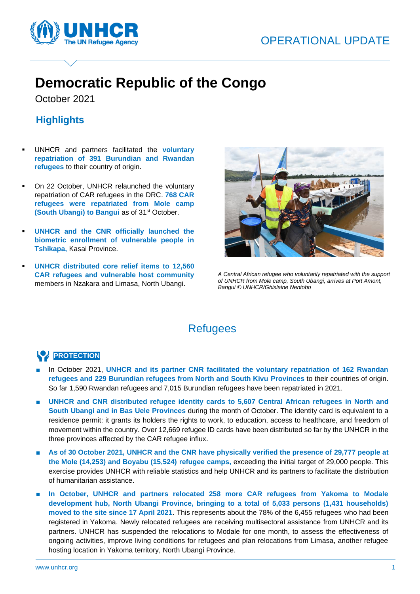



# **Democratic Republic of the Congo**

October 2021

Ĭ

## **Highlights**

- UNHCR and partners facilitated the **voluntary repatriation of 391 Burundian and Rwandan refugees** to their country of origin.
- On 22 October, UNHCR relaunched the voluntary repatriation of CAR refugees in the DRC. **768 CAR refugees were repatriated from Mole camp (South Ubangi) to Bangui as of 31<sup>st</sup> October.**
- **UNHCR** and the CNR officially launched the **biometric enrollment of vulnerable people in Tshikapa,** Kasai Province.
- **UNHCR distributed core relief items to 12,560 CAR refugees and vulnerable host community**  members in Nzakara and Limasa, North Ubangi.



*A Central African refugee who voluntarily repatriated with the support of UNHCR from Mole camp, South Ubangi, arrives at Port Amont, Bangui © UNHCR/Ghislaine Nentobo*

# **Refugees**

### **PROTECTION**

- In October 2021, UNHCR and its partner CNR facilitated the voluntary repatriation of 162 Rwandan **refugees and 229 Burundian refugees from North and South Kivu Provinces** to their countries of origin. So far 1,590 Rwandan refugees and 7,015 Burundian refugees have been repatriated in 2021.
- **UNHCR and CNR distributed refugee identity cards to 5,607 Central African refugees in North and South Ubangi and in Bas Uele Provinces** during the month of October. The identity card is equivalent to a residence permit: it grants its holders the rights to work, to education, access to healthcare, and freedom of movement within the country. Over 12,669 refugee ID cards have been distributed so far by the UNHCR in the three provinces affected by the CAR refugee influx.
- **As of 30 October 2021, UNHCR and the CNR have physically verified the presence of 29,777 people at the Mole (14,253) and Boyabu (15,524) refugee camps,** exceeding the initial target of 29,000 people. This exercise provides UNHCR with reliable statistics and help UNHCR and its partners to facilitate the distribution of humanitarian assistance.
- In October, UNHCR and partners relocated 258 more CAR refugees from Yakoma to Modale **development hub, North Ubangi Province, bringing to a total of 5,033 persons (1,431 households) moved to the site since 17 April 2021**. This represents about the 78% of the 6,455 refugees who had been registered in Yakoma. Newly relocated refugees are receiving multisectoral assistance from UNHCR and its partners. UNHCR has suspended the relocations to Modale for one month, to assess the effectiveness of ongoing activities, improve living conditions for refugees and plan relocations from Limasa, another refugee hosting location in Yakoma territory, North Ubangi Province.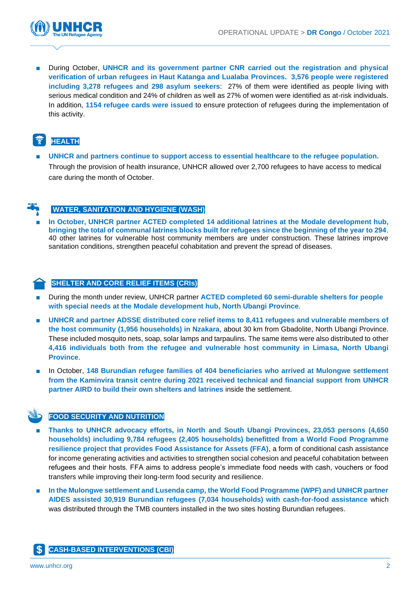

During October, UNHCR and its government partner CNR carried out the registration and physical **verification of urban refugees in Haut Katanga and Lualaba Provinces. 3,576 people were registered including 3,278 refugees and 298 asylum seekers**: 27% of them were identified as people living with serious medical condition and 24% of children as well as 27% of women were identified as at-risk individuals. In addition, **1154 refugee cards were issued** to ensure protection of refugees during the implementation of this activity.

### **WEALTH**

**UNHCR** and partners continue to support access to essential healthcare to the refugee population. Through the provision of health insurance, UNHCR allowed over 2,700 refugees to have access to medical care during the month of October.

### **WATER, SANITATION AND HYGIENE (WASH)**

■ **In October, UNHCR partner ACTED completed 14 additional latrines at the Modale development hub, bringing the total of communal latrines blocks built for refugees since the beginning of the year to 294**. 40 other latrines for vulnerable host community members are under construction. These latrines improve sanitation conditions, strengthen peaceful cohabitation and prevent the spread of diseases.

#### **SHELTER AND CORE RELIEF ITEMS (CRIs)**

- During the month under review, UNHCR partner **ACTED completed 60 semi-durable shelters for people with special needs at the Modale development hub, North Ubangi Province**.
- UNHCR and partner ADSSE distributed core relief items to 8,411 refugees and vulnerable members of **the host community (1,956 households) in Nzakara**, about 30 km from Gbadolite, North Ubangi Province. These included mosquito nets, soap, solar lamps and tarpaulins. The same items were also distributed to other **4,416 individuals both from the refugee and vulnerable host community in Limasa, North Ubangi Province**.
- In October, **148 Burundian refugee families of 404 beneficiaries who arrived at Mulongwe settlement from the Kaminvira transit centre during 2021 received technical and financial support from UNHCR partner AIRD to build their own shelters and latrines** inside the settlement.

#### **FOOD SECURITY AND NUTRITION**

- **Thanks to UNHCR advocacy efforts, in North and South Ubangi Provinces, 23,053 persons (4,650 households) including 9,784 refugees (2,405 households) benefitted from a World Food Programme resilience project that provides Food Assistance for Assets (FFA)**, a form of conditional cash assistance for income generating activities and activities to strengthen social cohesion and peaceful cohabitation between refugees and their hosts. FFA aims to address people's immediate food needs with cash, vouchers or food transfers while improving their long-term food security and resilience.
- In the Mulongwe settlement and Lusenda camp, the World Food Programme (WPF) and UNHCR partner **AIDES assisted 30,919 Burundian refugees (7,034 households) with cash-for-food assistance** which was distributed through the TMB counters installed in the two sites hosting Burundian refugees.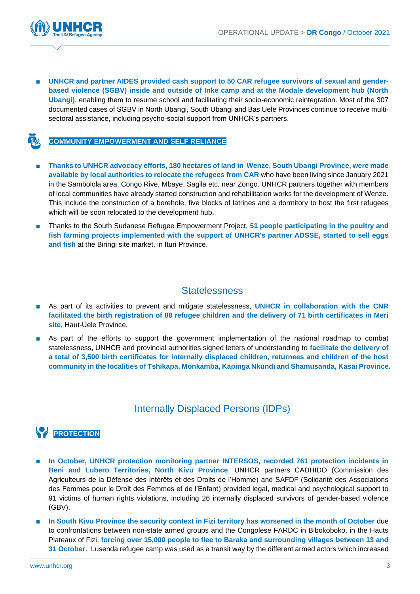

**UNHCR and partner AIDES provided cash support to 50 CAR refugee survivors of sexual and genderbased violence (SGBV) inside and outside of Inke camp and at the Modale development hub (North Ubangi)**, enabling them to resume school and facilitating their socio-economic reintegration. Most of the 307 documented cases of SGBV in North Ubangi, South Ubangi and Bas Uele Provinces continue to receive multisectoral assistance, including psycho-social support from UNHCR's partners.

#### **COMMUNITY EMPOWERMENT AND SELF RELIANCE**

- **Thanks to UNHCR advocacy efforts, 180 hectares of land in Wenze, South Ubangi Province, were made available by local authorities to relocate the refugees from CAR** who have been living since January 2021 in the Sambolola area, Congo Rive, Mbaye, Sagila etc. near Zongo. UNHCR partners together with members of local communities have already started construction and rehabilitation works for the development of Wenze. This include the construction of a borehole, five blocks of latrines and a dormitory to host the first refugees which will be soon relocated to the development hub**.**
- Thanks to the South Sudanese Refugee Empowerment Project, **51 people participating in the poultry and fish farming projects implemented with the support of UNHCR's partner ADSSE, started to sell eggs and fish** at the Biringi site market, in Ituri Province.

### **Statelessness**

- As part of its activities to prevent and mitigate statelessness, **UNHCR** in collaboration with the CNR **facilitated the birth registration of 88 refugee children and the delivery of 71 birth certificates in Meri site**, Haut-Uele Province.
- As part of the efforts to support the government implementation of the national roadmap to combat statelessness, UNHCR and provincial authorities signed letters of understanding to **facilitate the delivery of a total of 3,500 birth certificates for internally displaced children, returnees and children of the host community in the localities of Tshikapa, Monkamba, Kapinga Nkundi and Shamusanda, Kasai Province.**

### Internally Displaced Persons (IDPs)



- **In October, UNHCR protection monitoring partner INTERSOS, recorded 761 protection incidents in Beni and Lubero Territories, North Kivu Province**. UNHCR partners CADHIDO (Commission des Agriculteurs de la Défense des Intérêts et des Droits de l'Homme) and SAFDF (Solidarité des Associations des Femmes pour le Droit des Femmes et de l'Enfant) provided legal, medical and psychological support to 91 victims of human rights violations, including 26 internally displaced survivors of gender-based violence (GBV).
- **In South Kivu Province the security context in Fizi territory has worsened in the month of October** due to confrontations between non-state armed groups and the Congolese FARDC in Bibokoboko, in the Hauts Plateaux of Fizi, **forcing over 15,000 people to flee to Baraka and surrounding villages between 13 and 31 October**. Lusenda refugee camp was used as a transit way by the different armed actors which increased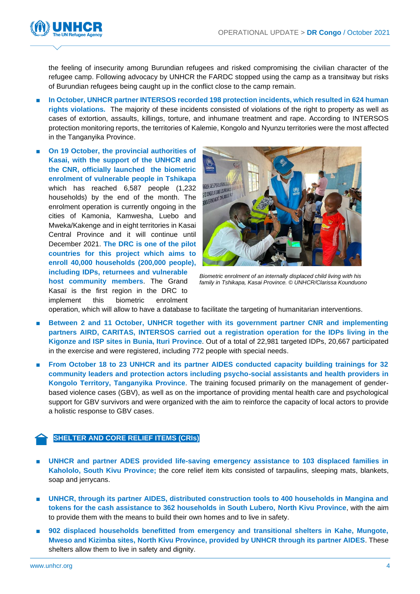

the feeling of insecurity among Burundian refugees and risked compromising the civilian character of the refugee camp. Following advocacy by UNHCR the FARDC stopped using the camp as a transitway but risks of Burundian refugees being caught up in the conflict close to the camp remain.

- **In October, UNHCR partner INTERSOS recorded 198 protection incidents, which resulted in 624 human rights violations.** The majority of these incidents consisted of violations of the right to property as well as cases of extortion, assaults, killings, torture, and inhumane treatment and rape. According to INTERSOS protection monitoring reports, the territories of Kalemie, Kongolo and Nyunzu territories were the most affected in the Tanganyika Province.
- On 19 October, the provincial authorities of **Kasai, with the support of the UNHCR and the CNR, officially launched the biometric enrolment of vulnerable people in Tshikapa** which has reached 6,587 people (1,232 households) by the end of the month. The enrolment operation is currently ongoing in the cities of Kamonia, Kamwesha, Luebo and Mweka/Kakenge and in eight territories in Kasai Central Province and it will continue until December 2021. **The DRC is one of the pilot countries for this project which aims to enroll 40,000 households (200,000 people), including IDPs, returnees and vulnerable host community members**. The Grand Kasaï is the first region in the DRC to implement this biometric enrolment



*Biometric enrolment of an internally displaced child living with his family in Tshikapa, Kasai Province. © UNHCR/Clarissa Kounduono*

operation, which will allow to have a database to facilitate the targeting of humanitarian interventions.

- **Between 2 and 11 October, UNHCR together with its government partner CNR and implementing partners AIRD, CARITAS, INTERSOS carried out a registration operation for the IDPs living in the Kigonze and ISP sites in Bunia, Ituri Province**. Out of a total of 22,981 targeted IDPs, 20,667 participated in the exercise and were registered, including 772 people with special needs.
- **From October 18 to 23 UNHCR and its partner AIDES conducted capacity building trainings for 32 community leaders and protection actors including psycho-social assistants and health providers in Kongolo Territory, Tanganyika Province**. The training focused primarily on the management of genderbased violence cases (GBV), as well as on the importance of providing mental health care and psychological support for GBV survivors and were organized with the aim to reinforce the capacity of local actors to provide a holistic response to GBV cases.

#### **SHELTER AND CORE RELIEF ITEMS (CRIs)**

- **UNHCR and partner ADES provided life-saving emergency assistance to 103 displaced families in Kahololo, South Kivu Province;** the core relief item kits consisted of tarpaulins, sleeping mats, blankets, soap and jerrycans.
- **UNHCR, through its partner AIDES, distributed construction tools to 400 households in Mangina and tokens for the cash assistance to 362 households in South Lubero, North Kivu Province**, with the aim to provide them with the means to build their own homes and to live in safety.
- 902 displaced households benefitted from emergency and transitional shelters in Kahe, Mungote, **Mweso and Kizimba sites, North Kivu Province, provided by UNHCR through its partner AIDES**. These shelters allow them to live in safety and dignity.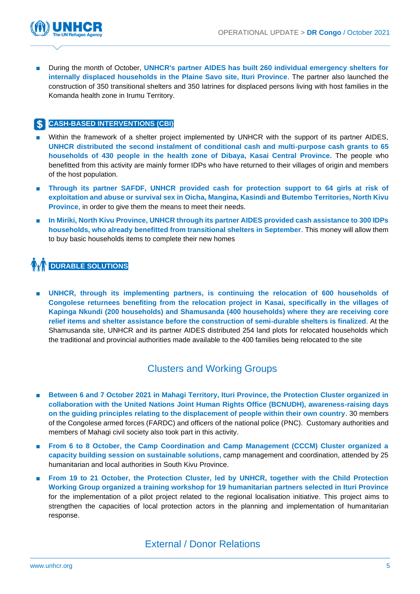

During the month of October, UNHCR's partner AIDES has built 260 individual emergency shelters for **internally displaced households in the Plaine Savo site, Ituri Province**. The partner also launched the construction of 350 transitional shelters and 350 latrines for displaced persons living with host families in the Komanda health zone in Irumu Territory.

### **CASH-BASED INTERVENTIONS (CBI)**

- Within the framework of a shelter project implemented by UNHCR with the support of its partner AIDES, **UNHCR distributed the second instalment of conditional cash and multi-purpose cash grants to 65 households of 430 people in the health zone of Dibaya, Kasai Central Province.** The people who benefitted from this activity are mainly former IDPs who have returned to their villages of origin and members of the host population.
- **Through its partner SAFDF, UNHCR provided cash for protection support to 64 girls at risk of exploitation and abuse or survival sex in Oicha, Mangina, Kasindi and Butembo Territories, North Kivu Province**, in order to give them the means to meet their needs.
- **In Miriki, North Kivu Province, UNHCR through its partner AIDES provided cash assistance to 300 IDPs households, who already benefitted from transitional shelters in September**. This money will allow them to buy basic households items to complete their new homes

# **DURABLE SOLUTIONS**

■ **UNHCR, through its implementing partners, is continuing the relocation of 600 households of Congolese returnees benefiting from the relocation project in Kasai, specifically in the villages of Kapinga Nkundi (200 households) and Shamusanda (400 households) where they are receiving core relief items and shelter assistance before the construction of semi-durable shelters is finalized**. At the Shamusanda site, UNHCR and its partner AIDES distributed 254 land plots for relocated households which the traditional and provincial authorities made available to the 400 families being relocated to the site

### Clusters and Working Groups

- **Between 6 and 7 October 2021 in Mahagi Territory, Ituri Province, the Protection Cluster organized in collaboration with the United Nations Joint Human Rights Office (BCNUDH), awareness-raising days on the guiding principles relating to the displacement of people within their own country**. 30 members of the Congolese armed forces (FARDC) and officers of the national police (PNC). Customary authorities and members of Mahagi civil society also took part in this activity.
- **From 6 to 8 October, the Camp Coordination and Camp Management (CCCM) Cluster organized a capacity building session on sustainable solutions,** camp management and coordination, attended by 25 humanitarian and local authorities in South Kivu Province.
- **From 19 to 21 October, the Protection Cluster, led by UNHCR, together with the Child Protection Working Group organized a training workshop for 19 humanitarian partners selected in Ituri Province** for the implementation of a pilot project related to the regional localisation initiative. This project aims to strengthen the capacities of local protection actors in the planning and implementation of humanitarian response.

### External / Donor Relations